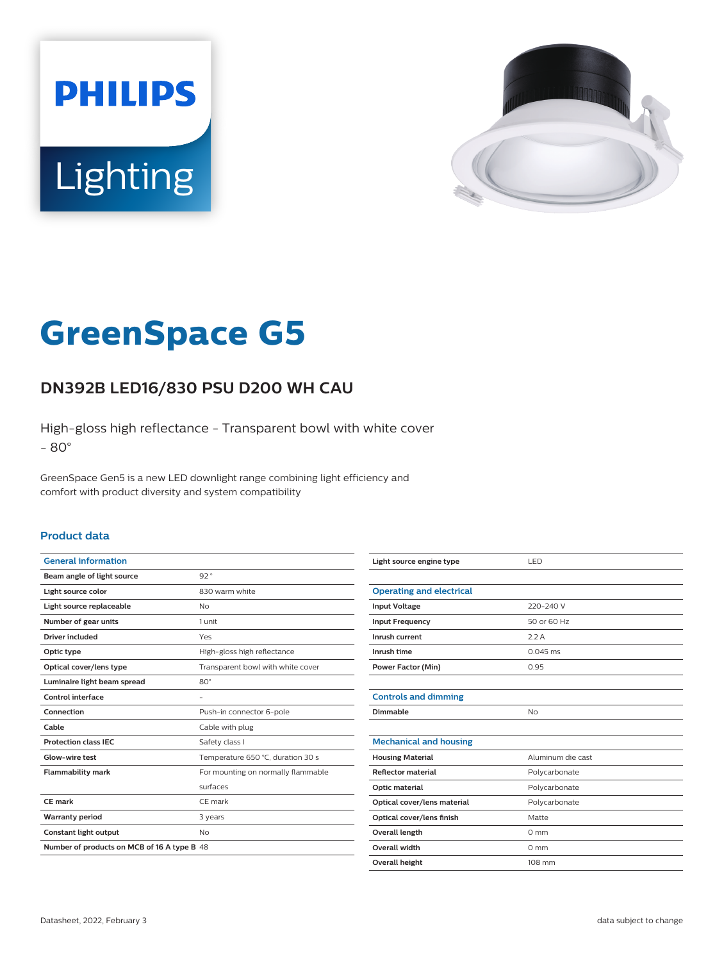



# **GreenSpace G5**

## **DN392B LED16/830 PSU D200 WH CAU**

High-gloss high reflectance - Transparent bowl with white cover - 80°

GreenSpace Gen5 is a new LED downlight range combining light efficiency and comfort with product diversity and system compatibility

#### **Product data**

| <b>General information</b>                  |                                    |  |
|---------------------------------------------|------------------------------------|--|
| Beam angle of light source                  | 92°                                |  |
| Light source color                          | 830 warm white                     |  |
| Light source replaceable                    | <b>No</b>                          |  |
| Number of gear units                        | 1 unit                             |  |
| Driver included                             | Yes                                |  |
| Optic type                                  | High-gloss high reflectance        |  |
| Optical cover/lens type                     | Transparent bowl with white cover  |  |
| Luminaire light beam spread                 | $80^\circ$                         |  |
| Control interface                           |                                    |  |
| Connection                                  | Push-in connector 6-pole           |  |
| Cable                                       | Cable with plug                    |  |
| <b>Protection class IEC</b>                 | Safety class I                     |  |
| Glow-wire test                              | Temperature 650 °C, duration 30 s  |  |
| <b>Flammability mark</b>                    | For mounting on normally flammable |  |
|                                             | surfaces                           |  |
| CE mark                                     | CE mark                            |  |
| <b>Warranty period</b>                      | 3 years                            |  |
| Constant light output                       | <b>No</b>                          |  |
| Number of products on MCB of 16 A type B 48 |                                    |  |
|                                             |                                    |  |

| Light source engine type        | LED               |
|---------------------------------|-------------------|
|                                 |                   |
| <b>Operating and electrical</b> |                   |
| <b>Input Voltage</b>            | 220-240 V         |
| <b>Input Frequency</b>          | 50 or 60 Hz       |
| Inrush current                  | 2.2A              |
| Inrush time                     | $0.045$ ms        |
| <b>Power Factor (Min)</b>       | 0.95              |
|                                 |                   |
| <b>Controls and dimming</b>     |                   |
| Dimmable                        | <b>No</b>         |
|                                 |                   |
| <b>Mechanical and housing</b>   |                   |
| <b>Housing Material</b>         | Aluminum die cast |
| <b>Reflector material</b>       | Polycarbonate     |
| Optic material                  | Polycarbonate     |
| Optical cover/lens material     | Polycarbonate     |
| Optical cover/lens finish       | Matte             |
| <b>Overall length</b>           | $0 \text{ mm}$    |
| Overall width                   | $0 \text{ mm}$    |
| <b>Overall height</b>           | 108 mm            |
|                                 |                   |